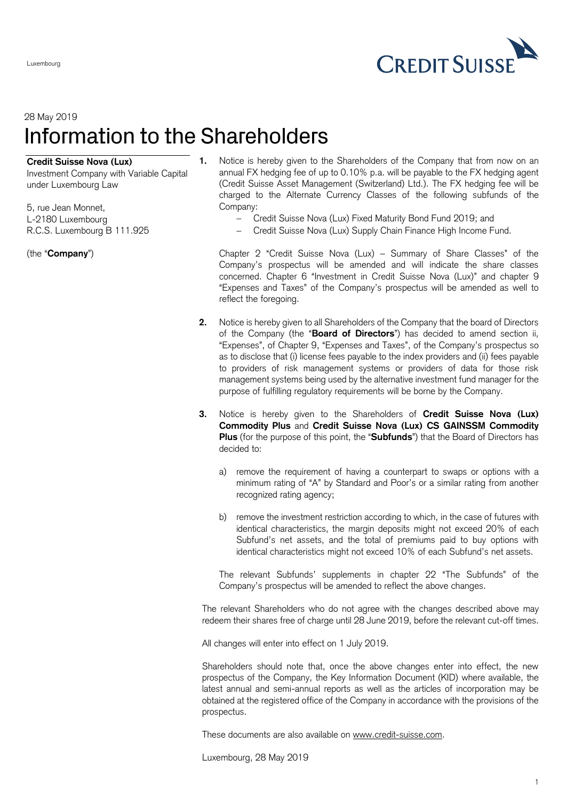

## 28 May 2019 Information to the Shareholders

## **Credit Suisse Nova (Lux)**

Investment Company with Variable Capital under Luxembourg Law

5, rue Jean Monnet, L-2180 Luxembourg R.C.S. Luxembourg B 111.925

(the "**Company**")

Luxembourg

- **1.** Notice is hereby given to the Shareholders of the Company that from now on an annual FX hedging fee of up to 0.10% p.a. will be payable to the FX hedging agent (Credit Suisse Asset Management (Switzerland) Ltd.). The FX hedging fee will be charged to the Alternate Currency Classes of the following subfunds of the Company:
	- Credit Suisse Nova (Lux) Fixed Maturity Bond Fund 2019; and
	- Credit Suisse Nova (Lux) Supply Chain Finance High Income Fund.

Chapter 2 "Credit Suisse Nova (Lux) – Summary of Share Classes" of the Company's prospectus will be amended and will indicate the share classes concerned. Chapter 6 "Investment in Credit Suisse Nova (Lux)" and chapter 9 "Expenses and Taxes" of the Company's prospectus will be amended as well to reflect the foregoing.

- **2.** Notice is hereby given to all Shareholders of the Company that the board of Directors of the Company (the "**Board of Directors**") has decided to amend section ii, "Expenses", of Chapter 9, "Expenses and Taxes", of the Company's prospectus so as to disclose that (i) license fees payable to the index providers and (ii) fees payable to providers of risk management systems or providers of data for those risk management systems being used by the alternative investment fund manager for the purpose of fulfilling regulatory requirements will be borne by the Company.
- **3.** Notice is hereby given to the Shareholders of **Credit Suisse Nova (Lux) Commodity Plus** and **Credit Suisse Nova (Lux) CS GAINSSM Commodity Plus** (for the purpose of this point, the "**Subfunds**") that the Board of Directors has decided to:
	- a) remove the requirement of having a counterpart to swaps or options with a minimum rating of "A" by Standard and Poor's or a similar rating from another recognized rating agency;
	- b) remove the investment restriction according to which, in the case of futures with identical characteristics, the margin deposits might not exceed 20% of each Subfund's net assets, and the total of premiums paid to buy options with identical characteristics might not exceed 10% of each Subfund's net assets.

The relevant Subfunds' supplements in chapter 22 "The Subfunds" of the Company's prospectus will be amended to reflect the above changes.

The relevant Shareholders who do not agree with the changes described above may redeem their shares free of charge until 28 June 2019, before the relevant cut-off times.

All changes will enter into effect on 1 July 2019.

Shareholders should note that, once the above changes enter into effect, the new prospectus of the Company, the Key Information Document (KID) where available, the latest annual and semi-annual reports as well as the articles of incorporation may be obtained at the registered office of the Company in accordance with the provisions of the prospectus.

These documents are also available on [www.credit-suisse.com.](http://www.credit-suisse.com/)

Luxembourg, 28 May 2019